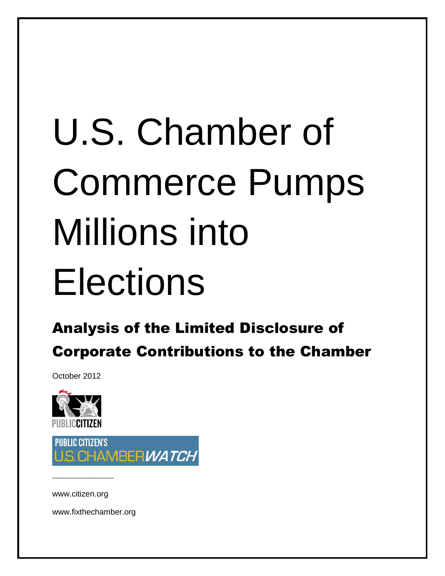# U.S. Chamber of Commerce Pumps Millions into Elections

## Analysis of the Limited Disclosure of Corporate Contributions to the Chamber

October 2012



PURLIC CITIZEN'S S. CHAMBERWATCH

www.citizen.org

–––––––––––––––––––

www.fixthechamber.org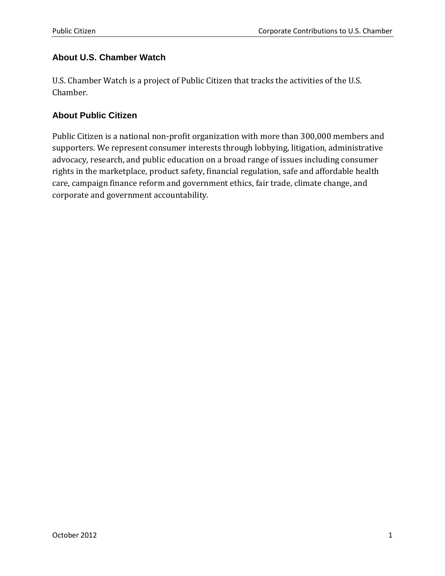#### **About U.S. Chamber Watch**

U.S. Chamber Watch is a project of Public Citizen that tracks the activities of the U.S. Chamber.

#### **About Public Citizen**

Public Citizen is a national non-profit organization with more than 300,000 members and supporters. We represent consumer interests through lobbying, litigation, administrative advocacy, research, and public education on a broad range of issues including consumer rights in the marketplace, product safety, financial regulation, safe and affordable health care, campaign finance reform and government ethics, fair trade, climate change, and corporate and government accountability.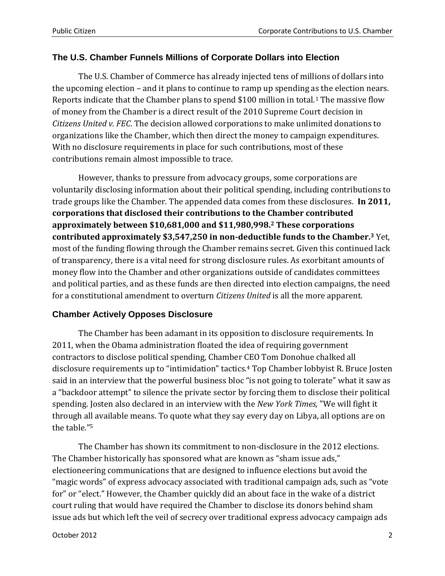#### **The U.S. Chamber Funnels Millions of Corporate Dollars into Election**

The U.S. Chamber of Commerce has already injected tens of millions of dollars into the upcoming election – and it plans to continue to ramp up spending as the election nears. Reports indicate that the Chamber plans to spend \$100 million in total.<sup>1</sup> The massive flow of money from the Chamber is a direct result of the 2010 Supreme Court decision in *Citizens United v. FEC*. The decision allowed corporations to make unlimited donations to organizations like the Chamber, which then direct the money to campaign expenditures. With no disclosure requirements in place for such contributions, most of these contributions remain almost impossible to trace.

However, thanks to pressure from advocacy groups, some corporations are voluntarily disclosing information about their political spending, including contributions to trade groups like the Chamber. The appended data comes from these disclosures. **In 2011, corporations that disclosed their contributions to the Chamber contributed approximately between \$10,681,000 and \$11,980,998. <sup>2</sup> These corporations contributed approximately \$3,547,250 in non-deductible funds to the Chamber.<sup>3</sup>** Yet, most of the funding flowing through the Chamber remains secret. Given this continued lack of transparency, there is a vital need for strong disclosure rules. As exorbitant amounts of money flow into the Chamber and other organizations outside of candidates committees and political parties, and as these funds are then directed into election campaigns, the need for a constitutional amendment to overturn *Citizens United* is all the more apparent.

#### **Chamber Actively Opposes Disclosure**

The Chamber has been adamant in its opposition to disclosure requirements. In 2011, when the Obama administration floated the idea of requiring government contractors to disclose political spending, Chamber CEO Tom Donohue chalked all disclosure requirements up to "intimidation" tactics.<sup>4</sup> Top Chamber lobbyist R. Bruce Josten said in an interview that the powerful business bloc "is not going to tolerate" what it saw as a "backdoor attempt" to silence the private sector by forcing them to disclose their political spending. Josten also declared in an interview with the *New York Times,* "We will fight it through all available means. To quote what they say every day on Libya, all options are on the table."<sup>5</sup>

The Chamber has shown its commitment to non-disclosure in the 2012 elections. The Chamber historically has sponsored what are known as "sham issue ads," electioneering communications that are designed to influence elections but avoid the "magic words" of express advocacy associated with traditional campaign ads, such as "vote for" or "elect." However, the Chamber quickly did an about face in the wake of a district court ruling that would have required the Chamber to disclose its donors behind sham issue ads but which left the veil of secrecy over traditional express advocacy campaign ads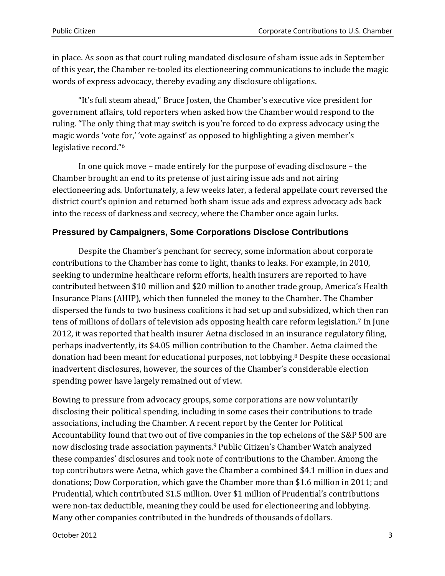in place. As soon as that court ruling mandated disclosure of sham issue ads in September of this year, the Chamber re-tooled its electioneering communications to include the magic words of express advocacy, thereby evading any disclosure obligations.

"It's full steam ahead," Bruce Josten, the Chamber's executive vice president for government affairs, told reporters when asked how the Chamber would respond to the ruling. "The only thing that may switch is you're forced to do express advocacy using the magic words 'vote for,' 'vote against' as opposed to highlighting a given member's legislative record."<sup>6</sup>

In one quick move – made entirely for the purpose of evading disclosure – the Chamber brought an end to its pretense of just airing issue ads and not airing electioneering ads. Unfortunately, a few weeks later, a federal appellate court reversed the district court's opinion and returned both sham issue ads and express advocacy ads back into the recess of darkness and secrecy, where the Chamber once again lurks.

#### **Pressured by Campaigners, Some Corporations Disclose Contributions**

Despite the Chamber's penchant for secrecy, some information about corporate contributions to the Chamber has come to light, thanks to leaks. For example, in 2010, seeking to undermine healthcare reform efforts, health insurers are reported to have contributed between \$10 million and \$20 million to another trade group, America's Health Insurance Plans (AHIP), which then funneled the money to the Chamber. The Chamber dispersed the funds to two business coalitions it had set up and subsidized, which then ran tens of millions of dollars of television ads opposing health care reform legislation.<sup>7</sup> In June 2012, it was reported that health insurer Aetna disclosed in an insurance regulatory filing, perhaps inadvertently, its \$4.05 million contribution to the Chamber. Aetna claimed the donation had been meant for educational purposes, not lobbying.<sup>8</sup> Despite these occasional inadvertent disclosures, however, the sources of the Chamber's considerable election spending power have largely remained out of view.

Bowing to pressure from advocacy groups, some corporations are now voluntarily disclosing their political spending, including in some cases their contributions to trade associations, including the Chamber. A recent report by the Center for Political Accountability found that two out of five companies in the top echelons of the S&P 500 are now disclosing trade association payments.<sup>9</sup> Public Citizen's Chamber Watch analyzed these companies' disclosures and took note of contributions to the Chamber. Among the top contributors were Aetna, which gave the Chamber a combined \$4.1 million in dues and donations; Dow Corporation, which gave the Chamber more than \$1.6 million in 2011; and Prudential, which contributed \$1.5 million. Over \$1 million of Prudential's contributions were non-tax deductible, meaning they could be used for electioneering and lobbying. Many other companies contributed in the hundreds of thousands of dollars.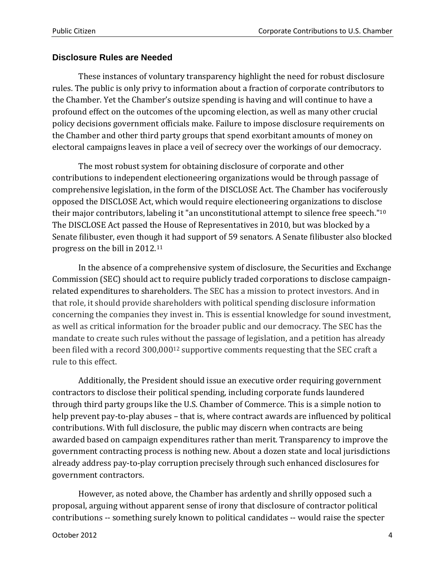#### **Disclosure Rules are Needed**

These instances of voluntary transparency highlight the need for robust disclosure rules. The public is only privy to information about a fraction of corporate contributors to the Chamber. Yet the Chamber's outsize spending is having and will continue to have a profound effect on the outcomes of the upcoming election, as well as many other crucial policy decisions government officials make. Failure to impose disclosure requirements on the Chamber and other third party groups that spend exorbitant amounts of money on electoral campaigns leaves in place a veil of secrecy over the workings of our democracy.

The most robust system for obtaining disclosure of corporate and other contributions to independent electioneering organizations would be through passage of comprehensive legislation, in the form of the DISCLOSE Act. The Chamber has vociferously opposed the DISCLOSE Act, which would require electioneering organizations to disclose their major contributors, labeling it "an unconstitutional attempt to silence free speech."<sup>10</sup> The DISCLOSE Act passed the House of Representatives in 2010, but was blocked by a Senate filibuster, even though it had support of 59 senators. A Senate filibuster also blocked progress on the bill in 2012.<sup>11</sup>

In the absence of a comprehensive system of disclosure, the Securities and Exchange Commission (SEC) should act to require publicly traded corporations to disclose campaignrelated expenditures to shareholders. The SEC has a mission to protect investors. And in that role, it should provide shareholders with political spending disclosure information concerning the companies they invest in. This is essential knowledge for sound investment, as well as critical information for the broader public and our democracy. The SEC has the mandate to create such rules without the passage of legislation, and a petition has already been filed with a record 300,000<sup>12</sup> supportive comments requesting that the SEC craft a rule to this effect.

Additionally, the President should issue an executive order requiring government contractors to disclose their political spending, including corporate funds laundered through third party groups like the U.S. Chamber of Commerce. This is a simple notion to help prevent pay-to-play abuses – that is, where contract awards are influenced by political contributions. With full disclosure, the public may discern when contracts are being awarded based on campaign expenditures rather than merit. Transparency to improve the government contracting process is nothing new. About a dozen state and local jurisdictions already address pay-to-play corruption precisely through such enhanced disclosures for government contractors.

However, as noted above, the Chamber has ardently and shrilly opposed such a proposal, arguing without apparent sense of irony that disclosure of contractor political contributions -- something surely known to political candidates -- would raise the specter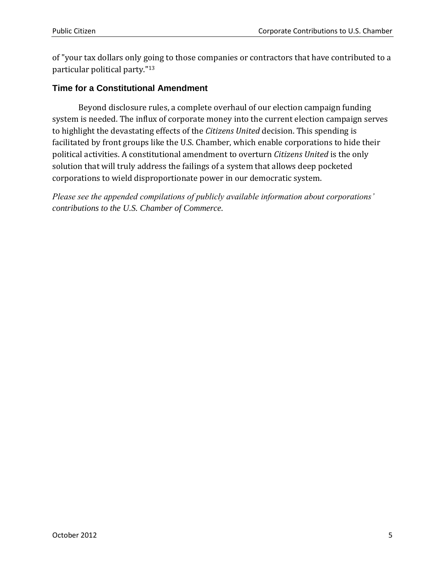of "your tax dollars only going to those companies or contractors that have contributed to a particular political party."<sup>13</sup>

#### **Time for a Constitutional Amendment**

Beyond disclosure rules, a complete overhaul of our election campaign funding system is needed. The influx of corporate money into the current election campaign serves to highlight the devastating effects of the *Citizens United* decision. This spending is facilitated by front groups like the U.S. Chamber, which enable corporations to hide their political activities. A constitutional amendment to overturn *Citizens United* is the only solution that will truly address the failings of a system that allows deep pocketed corporations to wield disproportionate power in our democratic system.

*Please see the appended compilations of publicly available information about corporations' contributions to the U.S. Chamber of Commerce.*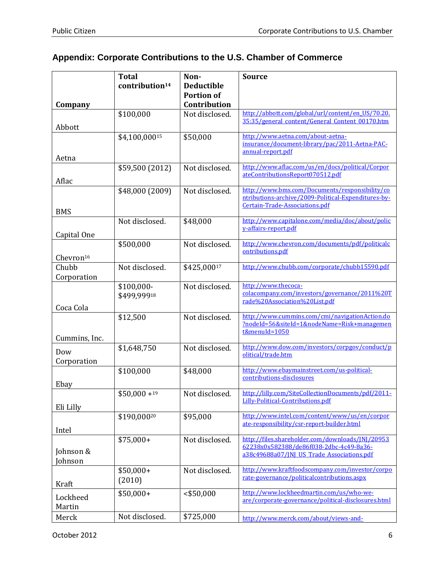### **Appendix: Corporate Contributions to the U.S. Chamber of Commerce**

|                       | <b>Total</b>               | Non-              | <b>Source</b>                                                                                 |
|-----------------------|----------------------------|-------------------|-----------------------------------------------------------------------------------------------|
|                       | contribution <sup>14</sup> | <b>Deductible</b> |                                                                                               |
|                       |                            | <b>Portion of</b> |                                                                                               |
| Company               |                            | Contribution      | http://abbott.com/global/url/content/en US/70.20.                                             |
| Abbott                | \$100,000                  | Not disclosed.    | 35:35/general content/General Content 00170.htm                                               |
|                       | \$4,100,00015              | \$50,000          | http://www.aetna.com/about-aetna-                                                             |
|                       |                            |                   | insurance/document-library/pac/2011-Aetna-PAC-<br>annual-report.pdf                           |
| Aetna                 |                            |                   |                                                                                               |
| Aflac                 | \$59,500 (2012)            | Not disclosed.    | http://www.aflac.com/us/en/docs/political/Corpor<br>ateContributionsReport070512.pdf          |
|                       | \$48,000 (2009)            | Not disclosed.    | http://www.bms.com/Documents/responsibility/co                                                |
|                       |                            |                   | ntributions-archive/2009-Political-Expenditures-by-<br>Certain-Trade-Associations.pdf         |
| <b>BMS</b>            |                            |                   |                                                                                               |
|                       | Not disclosed.             | \$48,000          | http://www.capitalone.com/media/doc/about/polic                                               |
| Capital One           |                            |                   | y-affairs-report.pdf                                                                          |
|                       | \$500,000                  | Not disclosed.    | http://www.chevron.com/documents/pdf/politicalc                                               |
| Chevron <sup>16</sup> |                            |                   | ontributions.pdf                                                                              |
| Chubb                 | Not disclosed.             | \$425,00017       | http://www.chubb.com/corporate/chubb15590.pdf                                                 |
| Corporation           |                            |                   |                                                                                               |
|                       | \$100,000-                 | Not disclosed.    | http://www.thecoca-                                                                           |
|                       | \$499,99918                |                   | colacompany.com/investors/governance/2011%20T<br>rade%20Association%20List.pdf                |
| Coca Cola             |                            |                   |                                                                                               |
|                       | \$12,500                   | Not disclosed.    | http://www.cummins.com/cmi/navigationAction.do<br>?nodeId=56&siteId=1&nodeName=Risk+managemen |
|                       |                            |                   | t&menuId=1050                                                                                 |
| Cummins, Inc.         |                            |                   |                                                                                               |
| Dow                   | \$1,648,750                | Not disclosed.    | http://www.dow.com/investors/corpgov/conduct/p<br>olitical/trade.htm                          |
| Corporation           |                            |                   |                                                                                               |
|                       | \$100,000                  | \$48,000          | http://www.ebaymainstreet.com/us-political-<br>contributions-disclosures                      |
| Ebay                  |                            |                   |                                                                                               |
|                       | $$50,000 + 19$             | Not disclosed.    | http://lilly.com/SiteCollectionDocuments/pdf/2011-                                            |
| Eli Lilly             |                            |                   | Lilly-Political-Contributions.pdf                                                             |
|                       | \$190,00020                | \$95,000          | http://www.intel.com/content/www/us/en/corpor                                                 |
| Intel                 |                            |                   | ate-responsibility/csr-report-builder.html                                                    |
|                       | $$75,000+$                 | Not disclosed.    | http://files.shareholder.com/downloads/JNJ/20953                                              |
| Johnson &             |                            |                   | 62238x0x582388/de86f038-2dbc-4c49-8a36-<br>a38c49688a07/INI US Trade Associations.pdf         |
| Johnson               |                            |                   |                                                                                               |
|                       | $$50,000+$                 | Not disclosed.    | http://www.kraftfoodscompany.com/investor/corpo                                               |
| Kraft                 | (2010)                     |                   | rate-governance/politicalcontributions.aspx                                                   |
| Lockheed              | $$50,000+$                 | $<$ \$50,000      | http://www.lockheedmartin.com/us/who-we-                                                      |
| Martin                |                            |                   | are/corporate-governance/political-disclosures.html                                           |
| Merck                 | Not disclosed.             | \$725,000         | http://www.merck.com/about/views-and-                                                         |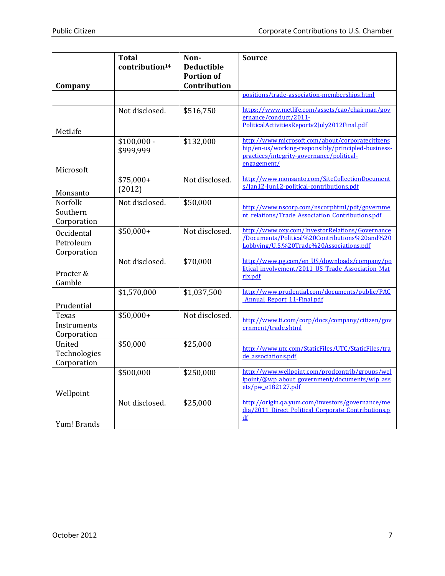|                                        | <b>Total</b><br>contribution <sup>14</sup> | Non-<br><b>Deductible</b>         | <b>Source</b>                                                                                                                                                      |
|----------------------------------------|--------------------------------------------|-----------------------------------|--------------------------------------------------------------------------------------------------------------------------------------------------------------------|
| Company                                |                                            | <b>Portion of</b><br>Contribution |                                                                                                                                                                    |
|                                        |                                            |                                   | positions/trade-association-memberships.html                                                                                                                       |
| MetLife                                | Not disclosed.                             | \$516,750                         | https://www.metlife.com/assets/cao/chairman/gov<br>ernance/conduct/2011-<br>PoliticalActivitiesReportv2July2012Final.pdf                                           |
| Microsoft                              | $$100,000 -$<br>\$999,999                  | \$132,000                         | http://www.microsoft.com/about/corporatecitizens<br>hip/en-us/working-responsibly/principled-business-<br>practices/integrity-governance/political-<br>engagement/ |
| Monsanto                               | $$75,000+$<br>(2012)                       | Not disclosed.                    | http://www.monsanto.com/SiteCollectionDocument<br>s/Jan12-Jun12-political-contributions.pdf                                                                        |
| Norfolk<br>Southern<br>Corporation     | Not disclosed.                             | \$50,000                          | http://www.nscorp.com/nscorphtml/pdf/governme<br>nt relations/Trade Association Contributions.pdf                                                                  |
| Occidental<br>Petroleum<br>Corporation | $$50,000+$                                 | Not disclosed.                    | http://www.oxy.com/InvestorRelations/Governance<br>/Documents/Political%20Contributions%20and%20<br>Lobbying/U.S.%20Trade%20Associations.pdf                       |
| Procter &<br>Gamble                    | Not disclosed.                             | \$70,000                          | http://www.pg.com/en US/downloads/company/po<br>litical involvement/2011 US Trade Association Mat<br>rix.pdf                                                       |
| Prudential                             | \$1,570,000                                | \$1,037,500                       | http://www.prudential.com/documents/public/PAC<br><b>Annual Report 11-Final.pdf</b>                                                                                |
| Texas<br>Instruments<br>Corporation    | $$50,000+$                                 | Not disclosed.                    | http://www.ti.com/corp/docs/company/citizen/gov<br>ernment/trade.shtml                                                                                             |
| United<br>Technologies<br>Corporation  | \$50,000                                   | \$25,000                          | http://www.utc.com/StaticFiles/UTC/StaticFiles/tra<br>de associations.pdf                                                                                          |
| Wellpoint                              | \$500,000                                  | \$250,000                         | http://www.wellpoint.com/prodcontrib/groups/wel<br>lpoint/@wp about government/documents/wlp ass<br>ets/pw_e182127.pdf                                             |
| Yum! Brands                            | Not disclosed.                             | \$25,000                          | http://origin.ga.yum.com/investors/governance/me<br>dia/2011 Direct Political Corporate Contributions.p<br>df                                                      |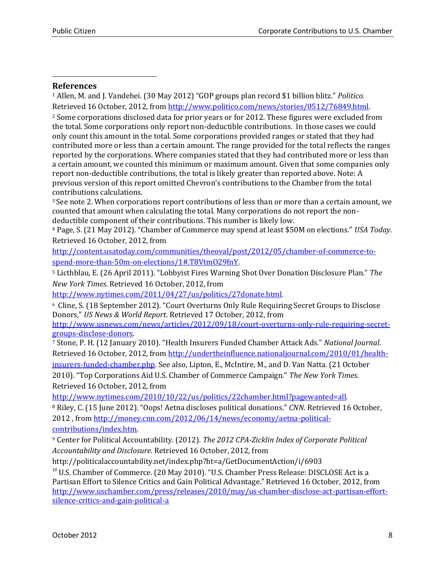#### **References**

 $\overline{\phantom{a}}$ 

<sup>1</sup> Allen, M. and J. Vandehei. (30 May 2012) "GOP groups plan record \$1 billion blitz." *Politico.*  Retrieved 16 October, 2012, fro[m http://www.politico.com/news/stories/0512/76849.html.](http://www.politico.com/news/stories/0512/76849.html)  <sup>2</sup> Some corporations disclosed data for prior years or for 2012. These figures were excluded from the total. Some corporations only report non-deductible contributions. In those cases we could only count this amount in the total. Some corporations provided ranges or stated that they had contributed more or less than a certain amount. The range provided for the total reflects the ranges reported by the corporations. Where companies stated that they had contributed more or less than a certain amount, we counted this minimum or maximum amount. Given that some companies only report non-deductible contributions, the total is likely greater than reported above. Note: A previous version of this report omitted Chevron's contributions to the Chamber from the total contributions calculations.

<sup>3</sup> See note 2. When corporations report contributions of less than or more than a certain amount, we counted that amount when calculating the total. Many corporations do not report the nondeductible component of their contributions. This number is likely low.

<sup>4</sup> Page, S. (21 May 2012). "Chamber of Commerce may spend at least \$50M on elections." *USA Today*. Retrieved 16 October, 2012, from

[http://content.usatoday.com/communities/theoval/post/2012/05/chamber-of-commerce-to](http://content.usatoday.com/communities/theoval/post/2012/05/chamber-of-commerce-to-spend-more-than-50m-on-elections/1#.T8VtmO29fnY)[spend-more-than-50m-on-elections/1#.T8VtmO29fnY.](http://content.usatoday.com/communities/theoval/post/2012/05/chamber-of-commerce-to-spend-more-than-50m-on-elections/1#.T8VtmO29fnY)

<sup>5</sup> Licthblau, E. (26 April 2011). "Lobbyist Fires Warning Shot Over Donation Disclosure Plan." *The New York Times*. Retrieved 16 October, 2012, from

[http://www.nytimes.com/2011/04/27/us/politics/27donate.html.](http://www.nytimes.com/2011/04/27/us/politics/27donate.html)

<sup>6</sup> Cline, S. (18 September 2012). "Court Overturns Only Rule Requiring Secret Groups to Disclose Donors," *US News & World Report*. Retrieved 17 October, 2012, from

[http://www.usnews.com/news/articles/2012/09/18/court-overturns-only-rule-requiring-secret](http://www.usnews.com/news/articles/2012/09/18/court-overturns-only-rule-requiring-secret-groups-disclose-donors)[groups-disclose-donors.](http://www.usnews.com/news/articles/2012/09/18/court-overturns-only-rule-requiring-secret-groups-disclose-donors)

<sup>7</sup> Stone, P. H. (12 January 2010). "Health Insurers Funded Chamber Attack Ads." *National Journal*. Retrieved 16 October, 2012, fro[m http://undertheinfluence.nationaljournal.com/2010/01/health-](http://undertheinfluence.nationaljournal.com/2010/01/health-insurers-funded-chamber.php)

[insurers-funded-chamber.php.](http://undertheinfluence.nationaljournal.com/2010/01/health-insurers-funded-chamber.php) See also, Lipton, E., McIntire, M., and D. Van Natta. (21 October 2010). "Top Corporations Aid U.S. Chamber of Commerce Campaign." *The New York Times*. Retrieved 16 October, 2012, from

[http://www.nytimes.com/2010/10/22/us/politics/22chamber.html?pagewanted=all.](http://www.nytimes.com/2010/10/22/us/politics/22chamber.html?pagewanted=all) 

<sup>8</sup> Riley, C. (15 June 2012). "Oops! Aetna discloses political donations." *CNN*. Retrieved 16 October, 2012 , from [http://money.cnn.com/2012/06/14/news/economy/aetna-political](http://money.cnn.com/2012/06/14/news/economy/aetna-political-contributions/index.htm)[contributions/index.htm.](http://money.cnn.com/2012/06/14/news/economy/aetna-political-contributions/index.htm) 

<sup>9</sup> Center for Political Accountability. (2012). *The 2012 CPA-Zicklin Index of Corporate Political Accountability and Disclosure*. Retrieved 16 October, 2012, from

http://politicalaccountability.net/index.php?ht=a/GetDocumentAction/i/6903

<sup>10</sup> U.S. Chamber of Commerce. (20 May 2010). "U.S. Chamber Press Release: DISCLOSE Act is a Partisan Effort to Silence Critics and Gain Political Advantage." Retrieved 16 October, 2012, from [http://www.uschamber.com/press/releases/2010/may/us-chamber-disclose-act-partisan-effort](http://www.uschamber.com/press/releases/2010/may/us-chamber-disclose-act-partisan-effort-silence-critics-and-gain-political-a)[silence-critics-and-gain-political-a](http://www.uschamber.com/press/releases/2010/may/us-chamber-disclose-act-partisan-effort-silence-critics-and-gain-political-a)